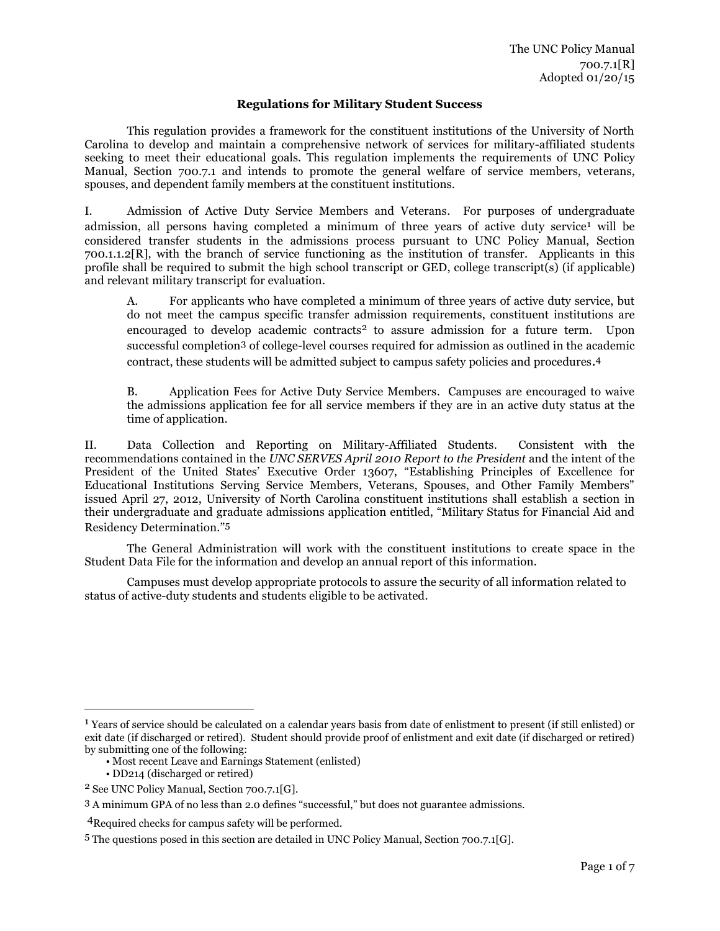## **Regulations for Military Student Success**

This regulation provides a framework for the constituent institutions of the University of North Carolina to develop and maintain a comprehensive network of services for military-affiliated students seeking to meet their educational goals. This regulation implements the requirements of UNC Policy Manual, Section 700.7.1 and intends to promote the general welfare of service members, veterans, spouses, and dependent family members at the constituent institutions.

I. Admission of Active Duty Service Members and Veterans. For purposes of undergraduate admission, all persons having completed a minimum of three years of active duty service<sup>1</sup> will be considered transfer students in the admissions process pursuant to UNC Policy Manual, Section 700.1.1.2[R], with the branch of service functioning as the institution of transfer. Applicants in this profile shall be required to submit the high school transcript or GED, college transcript(s) (if applicable) and relevant military transcript for evaluation.

A. For applicants who have completed a minimum of three years of active duty service, but do not meet the campus specific transfer admission requirements, constituent institutions are encouraged to develop academic contracts<sup>2</sup> to assure admission for a future term. Upon successful completion3 of college-level courses required for admission as outlined in the academic contract, these students will be admitted subject to campus safety policies and procedures.<sup>4</sup>

B. Application Fees for Active Duty Service Members. Campuses are encouraged to waive the admissions application fee for all service members if they are in an active duty status at the time of application.

II. Data Collection and Reporting on Military-Affiliated Students. Consistent with the recommendations contained in the *UNC SERVES April 2010 Report to the President* and the intent of the President of the United States' Executive Order 13607, "Establishing Principles of Excellence for Educational Institutions Serving Service Members, Veterans, Spouses, and Other Family Members" issued April 27, 2012, University of North Carolina constituent institutions shall establish a section in their undergraduate and graduate admissions application entitled, "Military Status for Financial Aid and Residency Determination."5

The General Administration will work with the constituent institutions to create space in the Student Data File for the information and develop an annual report of this information.

Campuses must develop appropriate protocols to assure the security of all information related to status of active-duty students and students eligible to be activated.

• DD214 (discharged or retired)

l

<sup>1</sup> Years of service should be calculated on a calendar years basis from date of enlistment to present (if still enlisted) or exit date (if discharged or retired). Student should provide proof of enlistment and exit date (if discharged or retired) by submitting one of the following:

<sup>•</sup> Most recent Leave and Earnings Statement (enlisted)

<sup>2</sup> See UNC Policy Manual, Section 700.7.1[G].

<sup>3</sup> A minimum GPA of no less than 2.0 defines "successful," but does not guarantee admissions.

<sup>4</sup>Required checks for campus safety will be performed.

<sup>5</sup> The questions posed in this section are detailed in UNC Policy Manual, Section 700.7.1[G].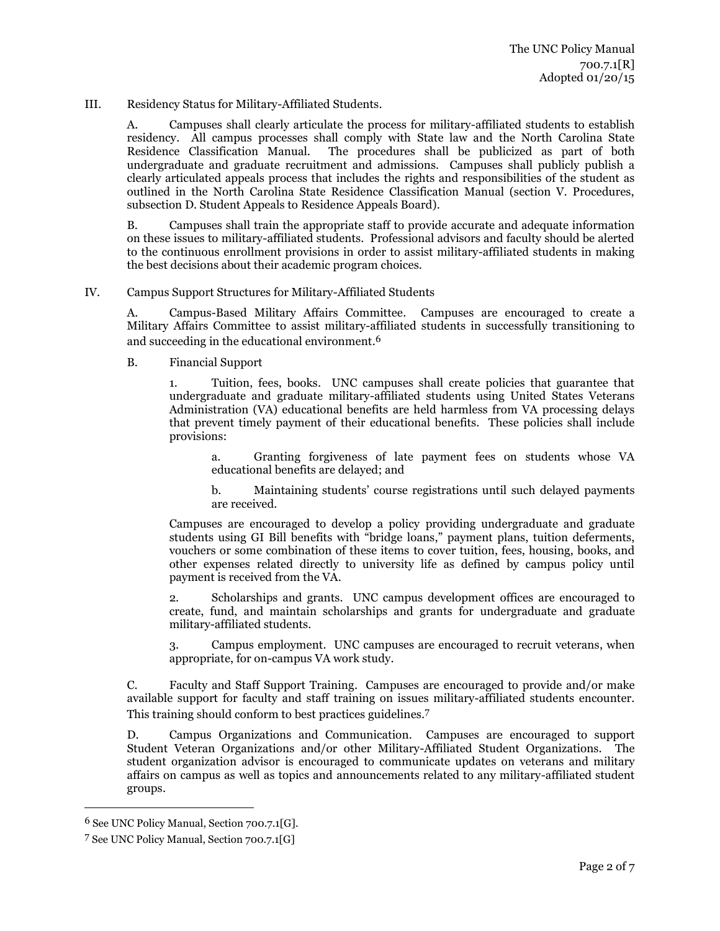III. Residency Status for Military-Affiliated Students.

A. Campuses shall clearly articulate the process for military-affiliated students to establish residency. All campus processes shall comply with State law and the North Carolina State Residence Classification Manual. The procedures shall be publicized as part of both undergraduate and graduate recruitment and admissions. Campuses shall publicly publish a clearly articulated appeals process that includes the rights and responsibilities of the student as outlined in the North Carolina State Residence Classification Manual (section V. Procedures, subsection D. Student Appeals to Residence Appeals Board).

B. Campuses shall train the appropriate staff to provide accurate and adequate information on these issues to military-affiliated students. Professional advisors and faculty should be alerted to the continuous enrollment provisions in order to assist military-affiliated students in making the best decisions about their academic program choices.

IV. Campus Support Structures for Military-Affiliated Students

A. Campus-Based Military Affairs Committee. Campuses are encouraged to create a Military Affairs Committee to assist military-affiliated students in successfully transitioning to and succeeding in the educational environment. 6

B. Financial Support

1. Tuition, fees, books. UNC campuses shall create policies that guarantee that undergraduate and graduate military-affiliated students using United States Veterans Administration (VA) educational benefits are held harmless from VA processing delays that prevent timely payment of their educational benefits. These policies shall include provisions:

a. Granting forgiveness of late payment fees on students whose VA educational benefits are delayed; and

b. Maintaining students' course registrations until such delayed payments are received.

Campuses are encouraged to develop a policy providing undergraduate and graduate students using GI Bill benefits with "bridge loans," payment plans, tuition deferments, vouchers or some combination of these items to cover tuition, fees, housing, books, and other expenses related directly to university life as defined by campus policy until payment is received from the VA.

2. Scholarships and grants. UNC campus development offices are encouraged to create, fund, and maintain scholarships and grants for undergraduate and graduate military-affiliated students.

3. Campus employment. UNC campuses are encouraged to recruit veterans, when appropriate, for on-campus VA work study.

C. Faculty and Staff Support Training. Campuses are encouraged to provide and/or make available support for faculty and staff training on issues military-affiliated students encounter. This training should conform to best practices guidelines. 7

D. Campus Organizations and Communication. Campuses are encouraged to support Student Veteran Organizations and/or other Military-Affiliated Student Organizations. The student organization advisor is encouraged to communicate updates on veterans and military affairs on campus as well as topics and announcements related to any military-affiliated student groups.

 $\overline{\phantom{a}}$ 

<sup>6</sup> See UNC Policy Manual, Section 700.7.1[G].

<sup>7</sup> See UNC Policy Manual, Section 700.7.1[G]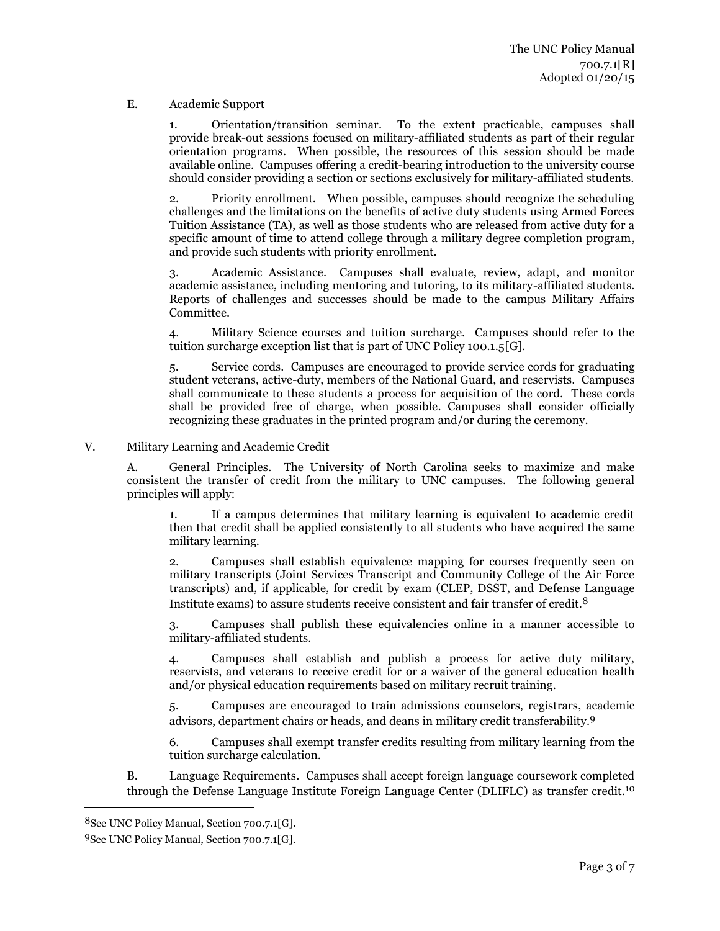## E. Academic Support

1. Orientation/transition seminar. To the extent practicable, campuses shall provide break-out sessions focused on military-affiliated students as part of their regular orientation programs. When possible, the resources of this session should be made available online. Campuses offering a credit-bearing introduction to the university course should consider providing a section or sections exclusively for military-affiliated students.

2. Priority enrollment. When possible, campuses should recognize the scheduling challenges and the limitations on the benefits of active duty students using Armed Forces Tuition Assistance (TA), as well as those students who are released from active duty for a specific amount of time to attend college through a military degree completion program, and provide such students with priority enrollment.

3. Academic Assistance. Campuses shall evaluate, review, adapt, and monitor academic assistance, including mentoring and tutoring, to its military-affiliated students. Reports of challenges and successes should be made to the campus Military Affairs Committee.

4. Military Science courses and tuition surcharge. Campuses should refer to the tuition surcharge exception list that is part of UNC Policy 100.1.5[G].

5. Service cords. Campuses are encouraged to provide service cords for graduating student veterans, active-duty, members of the National Guard, and reservists. Campuses shall communicate to these students a process for acquisition of the cord. These cords shall be provided free of charge, when possible. Campuses shall consider officially recognizing these graduates in the printed program and/or during the ceremony.

V. Military Learning and Academic Credit

A. General Principles. The University of North Carolina seeks to maximize and make consistent the transfer of credit from the military to UNC campuses. The following general principles will apply:

1. If a campus determines that military learning is equivalent to academic credit then that credit shall be applied consistently to all students who have acquired the same military learning.

2. Campuses shall establish equivalence mapping for courses frequently seen on military transcripts (Joint Services Transcript and Community College of the Air Force transcripts) and, if applicable, for credit by exam (CLEP, DSST, and Defense Language Institute exams) to assure students receive consistent and fair transfer of credit.8

3. Campuses shall publish these equivalencies online in a manner accessible to military-affiliated students.

4. Campuses shall establish and publish a process for active duty military, reservists, and veterans to receive credit for or a waiver of the general education health and/or physical education requirements based on military recruit training.

5. Campuses are encouraged to train admissions counselors, registrars, academic advisors, department chairs or heads, and deans in military credit transferability. 9

6. Campuses shall exempt transfer credits resulting from military learning from the tuition surcharge calculation.

B. Language Requirements. Campuses shall accept foreign language coursework completed through the Defense Language Institute Foreign Language Center (DLIFLC) as transfer credit.<sup>10</sup>

 $\overline{\phantom{a}}$ 

<sup>8</sup>See UNC Policy Manual, Section 700.7.1[G].

<sup>9</sup>See UNC Policy Manual, Section 700.7.1[G].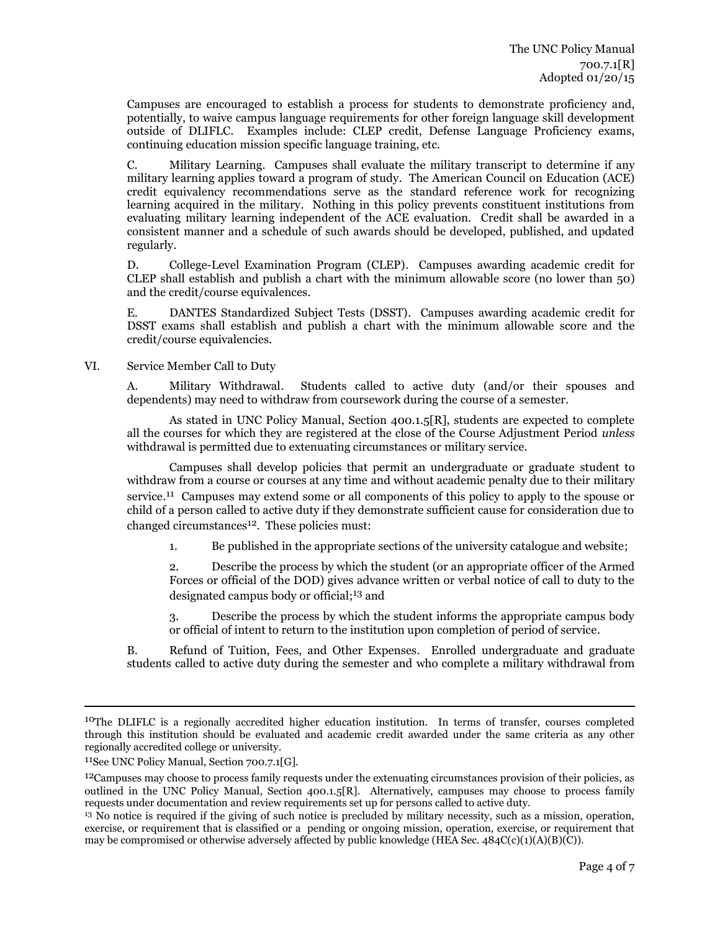Campuses are encouraged to establish a process for students to demonstrate proficiency and, potentially, to waive campus language requirements for other foreign language skill development outside of DLIFLC. Examples include: CLEP credit, Defense Language Proficiency exams, continuing education mission specific language training, etc.

C. Military Learning. Campuses shall evaluate the military transcript to determine if any military learning applies toward a program of study. The American Council on Education (ACE) credit equivalency recommendations serve as the standard reference work for recognizing learning acquired in the military. Nothing in this policy prevents constituent institutions from evaluating military learning independent of the ACE evaluation. Credit shall be awarded in a consistent manner and a schedule of such awards should be developed, published, and updated regularly.

D. College-Level Examination Program (CLEP). Campuses awarding academic credit for CLEP shall establish and publish a chart with the minimum allowable score (no lower than 50) and the credit/course equivalences.

E. DANTES Standardized Subject Tests (DSST). Campuses awarding academic credit for DSST exams shall establish and publish a chart with the minimum allowable score and the credit/course equivalencies.

VI. Service Member Call to Duty

A. Military Withdrawal. Students called to active duty (and/or their spouses and dependents) may need to withdraw from coursework during the course of a semester.

As stated in UNC Policy Manual, Section 400.1.5[R], students are expected to complete all the courses for which they are registered at the close of the Course Adjustment Period *unless* withdrawal is permitted due to extenuating circumstances or military service.

Campuses shall develop policies that permit an undergraduate or graduate student to withdraw from a course or courses at any time and without academic penalty due to their military service.<sup>11</sup> Campuses may extend some or all components of this policy to apply to the spouse or child of a person called to active duty if they demonstrate sufficient cause for consideration due to changed circumstances<sup>12</sup>. These policies must:

1. Be published in the appropriate sections of the university catalogue and website;

2. Describe the process by which the student (or an appropriate officer of the Armed Forces or official of the DOD) gives advance written or verbal notice of call to duty to the designated campus body or official; 13 and

3. Describe the process by which the student informs the appropriate campus body or official of intent to return to the institution upon completion of period of service.

B. Refund of Tuition, Fees, and Other Expenses. Enrolled undergraduate and graduate students called to active duty during the semester and who complete a military withdrawal from

l

<sup>10</sup>The DLIFLC is a regionally accredited higher education institution. In terms of transfer, courses completed through this institution should be evaluated and academic credit awarded under the same criteria as any other regionally accredited college or university.

<sup>11</sup>See UNC Policy Manual, Section 700.7.1[G].

<sup>&</sup>lt;sup>12</sup>Campuses may choose to process family requests under the extenuating circumstances provision of their policies, as outlined in the UNC Policy Manual, Section 400.1.5[R]. Alternatively, campuses may choose to process family requests under documentation and review requirements set up for persons called to active duty.

<sup>13</sup> No notice is required if the giving of such notice is precluded by military necessity, such as a mission, operation, exercise, or requirement that is classified or a pending or ongoing mission, operation, exercise, or requirement that may be compromised or otherwise adversely affected by public knowledge (HEA Sec. 484C(c)(1)(A)(B)(C)).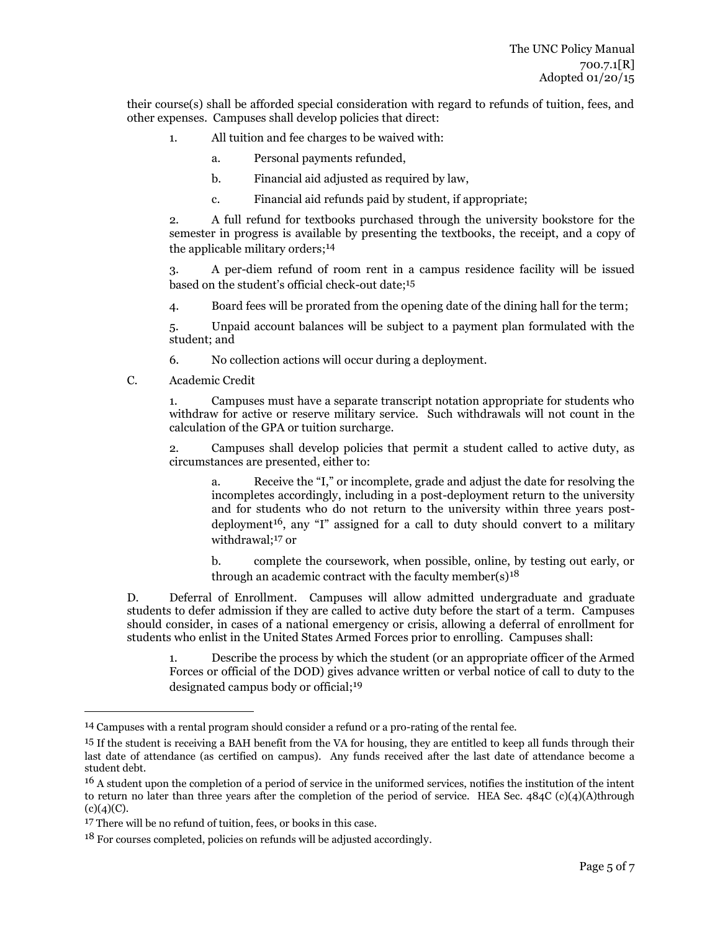their course(s) shall be afforded special consideration with regard to refunds of tuition, fees, and other expenses. Campuses shall develop policies that direct:

- 1. All tuition and fee charges to be waived with:
	- a. Personal payments refunded,
	- b. Financial aid adjusted as required by law,
	- c. Financial aid refunds paid by student, if appropriate;

2. A full refund for textbooks purchased through the university bookstore for the semester in progress is available by presenting the textbooks, the receipt, and a copy of the applicable military orders; 14

3. A per-diem refund of room rent in a campus residence facility will be issued based on the student's official check-out date; 15

4. Board fees will be prorated from the opening date of the dining hall for the term;

5. Unpaid account balances will be subject to a payment plan formulated with the student; and

6. No collection actions will occur during a deployment.

C. Academic Credit

1. Campuses must have a separate transcript notation appropriate for students who withdraw for active or reserve military service. Such withdrawals will not count in the calculation of the GPA or tuition surcharge.

2. Campuses shall develop policies that permit a student called to active duty, as circumstances are presented, either to:

a. Receive the "I," or incomplete, grade and adjust the date for resolving the incompletes accordingly, including in a post-deployment return to the university and for students who do not return to the university within three years postdeployment<sup>16</sup>, any "I" assigned for a call to duty should convert to a military withdrawal; 17 or

b. complete the coursework, when possible, online, by testing out early, or through an academic contract with the faculty member(s) $18$ 

D. Deferral of Enrollment. Campuses will allow admitted undergraduate and graduate students to defer admission if they are called to active duty before the start of a term. Campuses should consider, in cases of a national emergency or crisis, allowing a deferral of enrollment for students who enlist in the United States Armed Forces prior to enrolling. Campuses shall:

1. Describe the process by which the student (or an appropriate officer of the Armed Forces or official of the DOD) gives advance written or verbal notice of call to duty to the designated campus body or official; 19

l

<sup>14</sup> Campuses with a rental program should consider a refund or a pro-rating of the rental fee.

<sup>&</sup>lt;sup>15</sup> If the student is receiving a BAH benefit from the VA for housing, they are entitled to keep all funds through their last date of attendance (as certified on campus). Any funds received after the last date of attendance become a student debt.

<sup>16</sup> A student upon the completion of a period of service in the uniformed services, notifies the institution of the intent to return no later than three years after the completion of the period of service. HEA Sec. 484C (c)(4)(A)through  $(c)(4)(C)$ .

<sup>&</sup>lt;sup>17</sup> There will be no refund of tuition, fees, or books in this case.

<sup>18</sup> For courses completed, policies on refunds will be adjusted accordingly.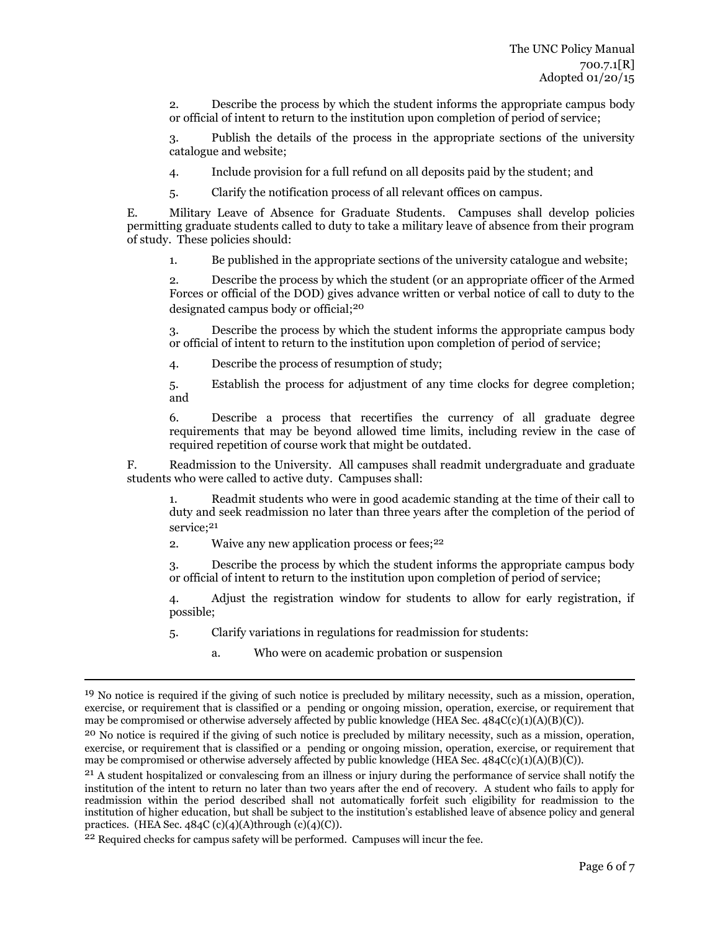2. Describe the process by which the student informs the appropriate campus body or official of intent to return to the institution upon completion of period of service;

3. Publish the details of the process in the appropriate sections of the university catalogue and website;

4. Include provision for a full refund on all deposits paid by the student; and

5. Clarify the notification process of all relevant offices on campus.

E. Military Leave of Absence for Graduate Students. Campuses shall develop policies permitting graduate students called to duty to take a military leave of absence from their program of study. These policies should:

1. Be published in the appropriate sections of the university catalogue and website;

2. Describe the process by which the student (or an appropriate officer of the Armed Forces or official of the DOD) gives advance written or verbal notice of call to duty to the designated campus body or official; 20

3. Describe the process by which the student informs the appropriate campus body or official of intent to return to the institution upon completion of period of service;

4. Describe the process of resumption of study;

5. Establish the process for adjustment of any time clocks for degree completion; and

6. Describe a process that recertifies the currency of all graduate degree requirements that may be beyond allowed time limits, including review in the case of required repetition of course work that might be outdated.

F. Readmission to the University. All campuses shall readmit undergraduate and graduate students who were called to active duty. Campuses shall:

1. Readmit students who were in good academic standing at the time of their call to duty and seek readmission no later than three years after the completion of the period of service; 21

2. Waive any new application process or fees;<sup>22</sup>

3. Describe the process by which the student informs the appropriate campus body or official of intent to return to the institution upon completion of period of service;

4. Adjust the registration window for students to allow for early registration, if possible;

5. Clarify variations in regulations for readmission for students:

a. Who were on academic probation or suspension

 $\overline{\phantom{a}}$ 

<sup>&</sup>lt;sup>19</sup> No notice is required if the giving of such notice is precluded by military necessity, such as a mission, operation, exercise, or requirement that is classified or a pending or ongoing mission, operation, exercise, or requirement that may be compromised or otherwise adversely affected by public knowledge (HEA Sec. 484C(c)(1)(A)(B)(C)).

<sup>&</sup>lt;sup>20</sup> No notice is required if the giving of such notice is precluded by military necessity, such as a mission, operation, exercise, or requirement that is classified or a pending or ongoing mission, operation, exercise, or requirement that may be compromised or otherwise adversely affected by public knowledge (HEA Sec. 484C(c)(1)(A)(B)(C)).

<sup>&</sup>lt;sup>21</sup> A student hospitalized or convalescing from an illness or injury during the performance of service shall notify the institution of the intent to return no later than two years after the end of recovery. A student who fails to apply for readmission within the period described shall not automatically forfeit such eligibility for readmission to the institution of higher education, but shall be subject to the institution's established leave of absence policy and general practices. (HEA Sec.  $484C$  (c)(4)(A)through (c)(4)(C)).

<sup>22</sup> Required checks for campus safety will be performed. Campuses will incur the fee.